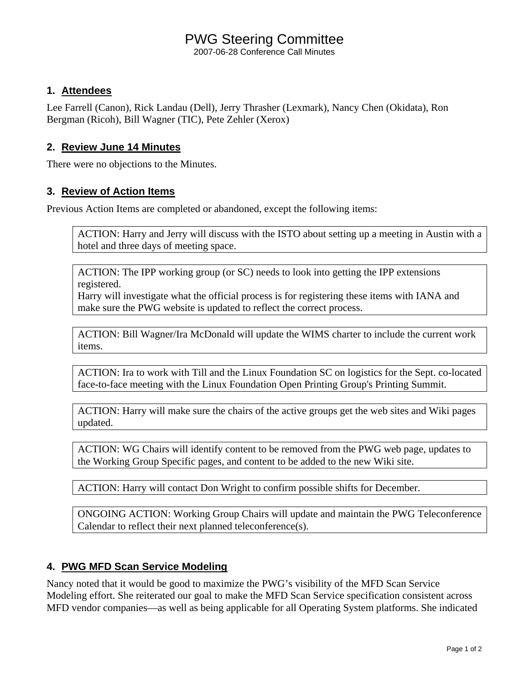## PWG Steering Committee

2007-06-28 Conference Call Minutes

### **1. Attendees**

Lee Farrell (Canon), Rick Landau (Dell), Jerry Thrasher (Lexmark), Nancy Chen (Okidata), Ron Bergman (Ricoh), Bill Wagner (TIC), Pete Zehler (Xerox)

### **2. Review June 14 Minutes**

There were no objections to the Minutes.

### **3. Review of Action Items**

Previous Action Items are completed or abandoned, except the following items:

ACTION: Harry and Jerry will discuss with the ISTO about setting up a meeting in Austin with a hotel and three days of meeting space.

ACTION: The IPP working group (or SC) needs to look into getting the IPP extensions registered.

Harry will investigate what the official process is for registering these items with IANA and make sure the PWG website is updated to reflect the correct process.

ACTION: Bill Wagner/Ira McDonald will update the WIMS charter to include the current work items.

ACTION: Ira to work with Till and the Linux Foundation SC on logistics for the Sept. co-located face-to-face meeting with the Linux Foundation Open Printing Group's Printing Summit.

ACTION: Harry will make sure the chairs of the active groups get the web sites and Wiki pages updated.

ACTION: WG Chairs will identify content to be removed from the PWG web page, updates to the Working Group Specific pages, and content to be added to the new Wiki site.

ACTION: Harry will contact Don Wright to confirm possible shifts for December.

ONGOING ACTION: Working Group Chairs will update and maintain the PWG Teleconference Calendar to reflect their next planned teleconference(s).

## **4. PWG MFD Scan Service Modeling**

Nancy noted that it would be good to maximize the PWG's visibility of the MFD Scan Service Modeling effort. She reiterated our goal to make the MFD Scan Service specification consistent across MFD vendor companies—as well as being applicable for all Operating System platforms. She indicated